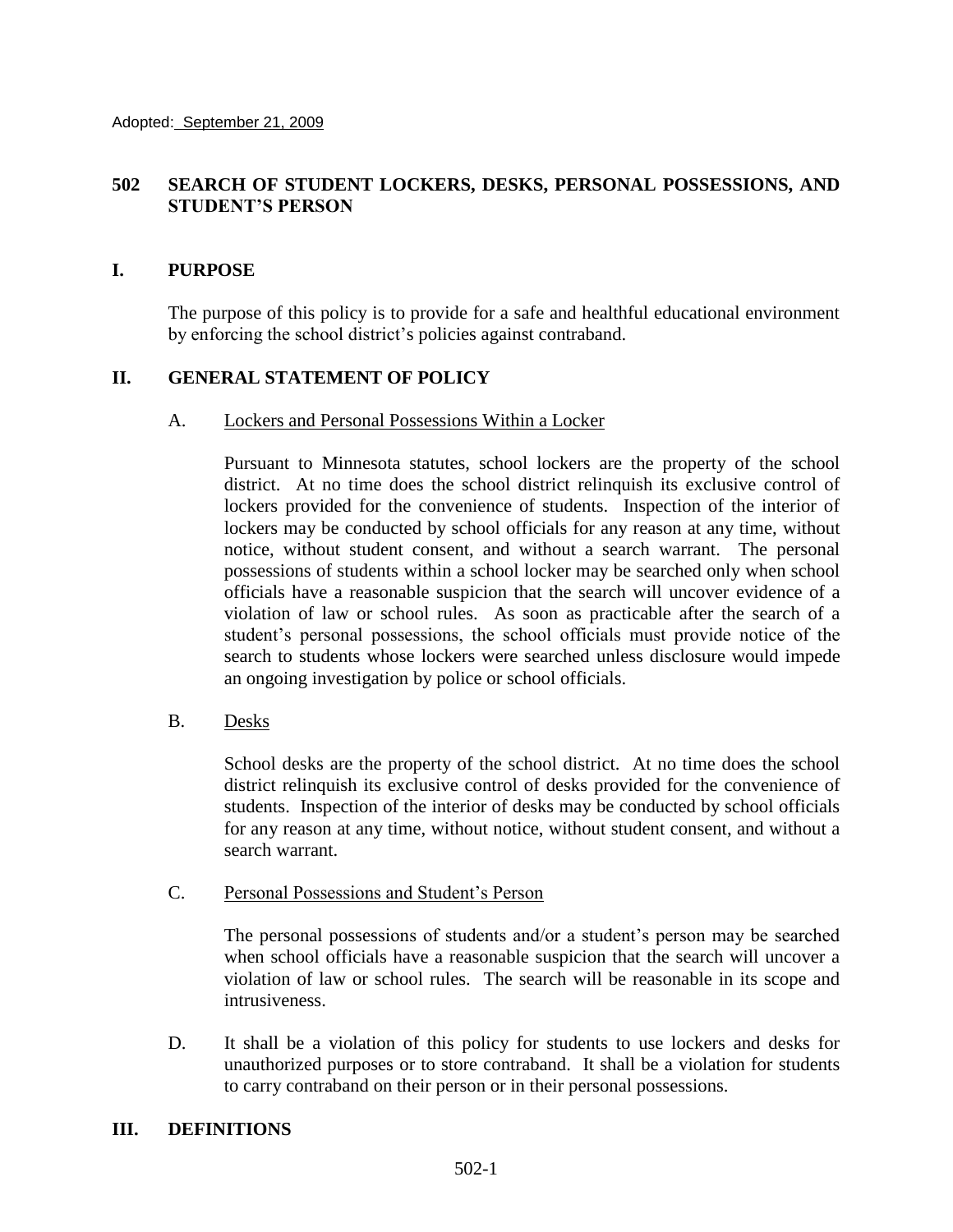# **502 SEARCH OF STUDENT LOCKERS, DESKS, PERSONAL POSSESSIONS, AND STUDENT'S PERSON**

### **I. PURPOSE**

The purpose of this policy is to provide for a safe and healthful educational environment by enforcing the school district's policies against contraband.

## **II. GENERAL STATEMENT OF POLICY**

#### A. Lockers and Personal Possessions Within a Locker

Pursuant to Minnesota statutes, school lockers are the property of the school district. At no time does the school district relinquish its exclusive control of lockers provided for the convenience of students. Inspection of the interior of lockers may be conducted by school officials for any reason at any time, without notice, without student consent, and without a search warrant. The personal possessions of students within a school locker may be searched only when school officials have a reasonable suspicion that the search will uncover evidence of a violation of law or school rules. As soon as practicable after the search of a student's personal possessions, the school officials must provide notice of the search to students whose lockers were searched unless disclosure would impede an ongoing investigation by police or school officials.

### B. Desks

School desks are the property of the school district. At no time does the school district relinquish its exclusive control of desks provided for the convenience of students. Inspection of the interior of desks may be conducted by school officials for any reason at any time, without notice, without student consent, and without a search warrant.

### C. Personal Possessions and Student's Person

The personal possessions of students and/or a student's person may be searched when school officials have a reasonable suspicion that the search will uncover a violation of law or school rules. The search will be reasonable in its scope and intrusiveness.

D. It shall be a violation of this policy for students to use lockers and desks for unauthorized purposes or to store contraband. It shall be a violation for students to carry contraband on their person or in their personal possessions.

### **III. DEFINITIONS**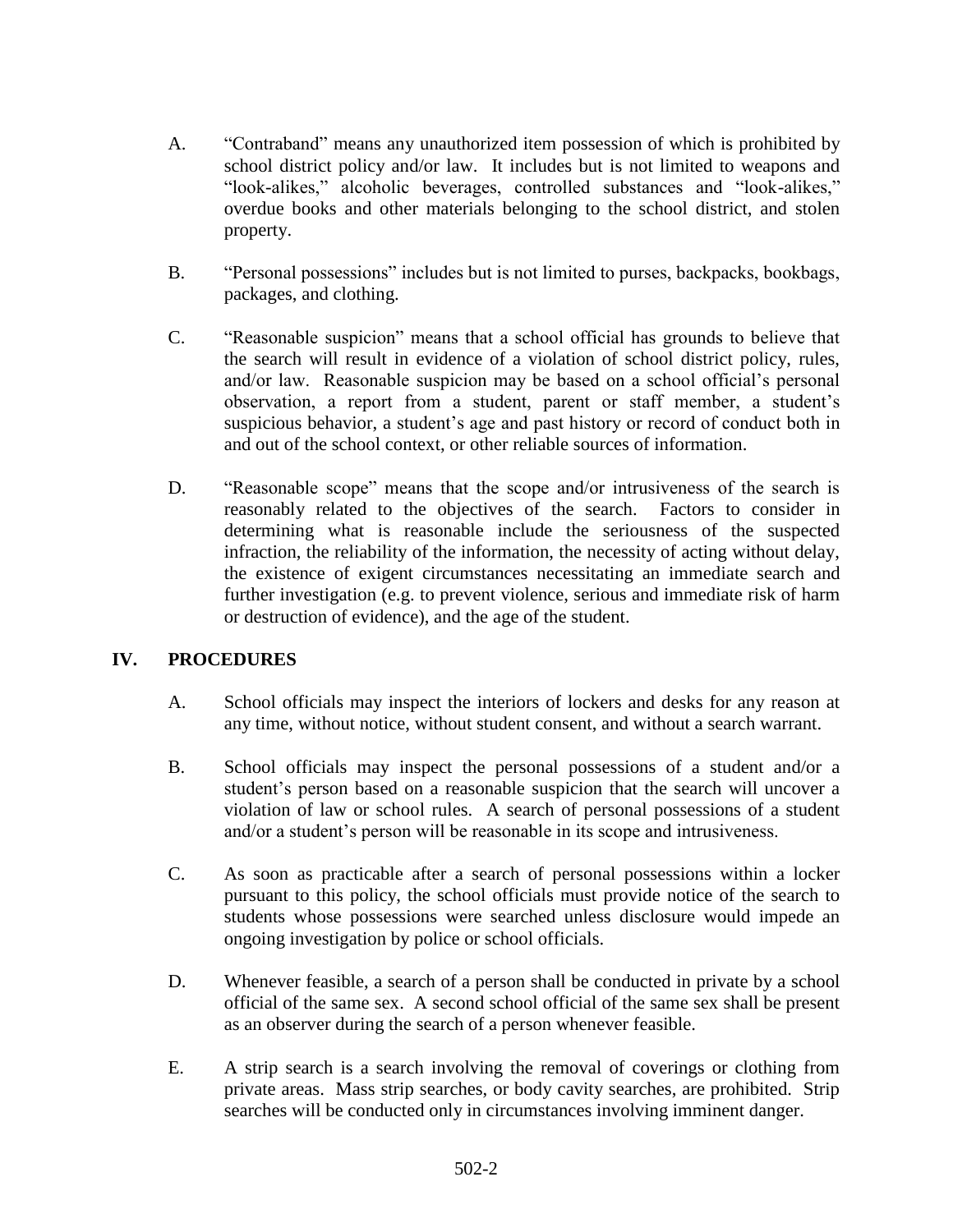- A. "Contraband" means any unauthorized item possession of which is prohibited by school district policy and/or law. It includes but is not limited to weapons and "look-alikes," alcoholic beverages, controlled substances and "look-alikes," overdue books and other materials belonging to the school district, and stolen property.
- B. "Personal possessions" includes but is not limited to purses, backpacks, bookbags, packages, and clothing.
- C. "Reasonable suspicion" means that a school official has grounds to believe that the search will result in evidence of a violation of school district policy, rules, and/or law. Reasonable suspicion may be based on a school official's personal observation, a report from a student, parent or staff member, a student's suspicious behavior, a student's age and past history or record of conduct both in and out of the school context, or other reliable sources of information.
- D. "Reasonable scope" means that the scope and/or intrusiveness of the search is reasonably related to the objectives of the search. Factors to consider in determining what is reasonable include the seriousness of the suspected infraction, the reliability of the information, the necessity of acting without delay, the existence of exigent circumstances necessitating an immediate search and further investigation (e.g. to prevent violence, serious and immediate risk of harm or destruction of evidence), and the age of the student.

# **IV. PROCEDURES**

- A. School officials may inspect the interiors of lockers and desks for any reason at any time, without notice, without student consent, and without a search warrant.
- B. School officials may inspect the personal possessions of a student and/or a student's person based on a reasonable suspicion that the search will uncover a violation of law or school rules. A search of personal possessions of a student and/or a student's person will be reasonable in its scope and intrusiveness.
- C. As soon as practicable after a search of personal possessions within a locker pursuant to this policy, the school officials must provide notice of the search to students whose possessions were searched unless disclosure would impede an ongoing investigation by police or school officials.
- D. Whenever feasible, a search of a person shall be conducted in private by a school official of the same sex. A second school official of the same sex shall be present as an observer during the search of a person whenever feasible.
- E. A strip search is a search involving the removal of coverings or clothing from private areas. Mass strip searches, or body cavity searches, are prohibited. Strip searches will be conducted only in circumstances involving imminent danger.